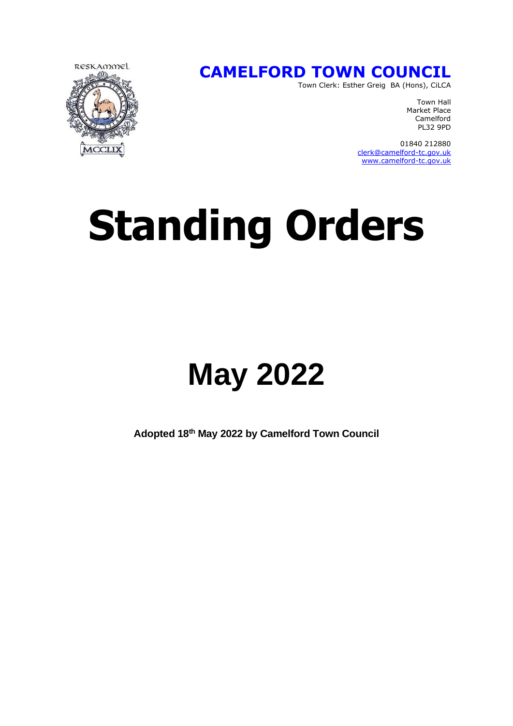

#### **CAMELFORD TOWN COUNCIL**

Town Clerk: Esther Greig BA (Hons), CiLCA

Town Hall Market Place Camelford PL32 9PD

 01840 212880 [clerk@camelford-tc.gov.uk](mailto:clerk@camelford-tc.gov.uk) [www.camelford-tc.gov.uk](http://www.camelfordtown.net/)

# **Standing Orders**

## **May 2022**

**Adopted 18th May 2022 by Camelford Town Council**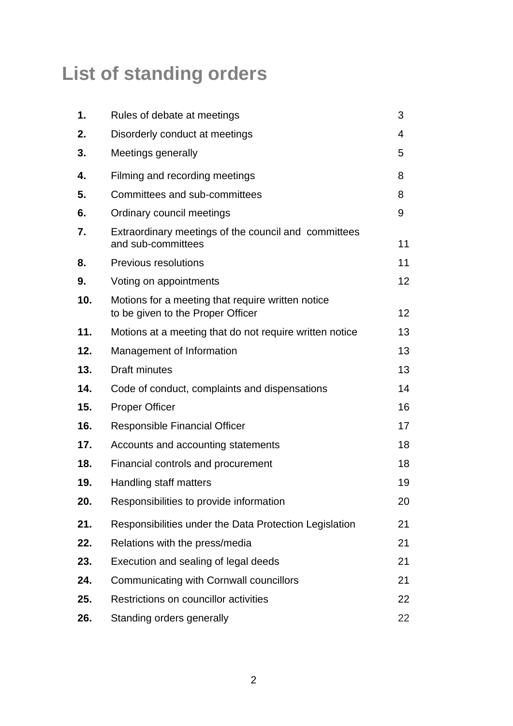### **List of standing orders**

| 1.  | Rules of debate at meetings                                                            | 3  |
|-----|----------------------------------------------------------------------------------------|----|
| 2.  | Disorderly conduct at meetings                                                         | 4  |
| 3.  | Meetings generally                                                                     | 5  |
| 4.  | Filming and recording meetings                                                         | 8  |
| 5.  | Committees and sub-committees                                                          | 8  |
| 6.  | Ordinary council meetings                                                              | 9  |
| 7.  | Extraordinary meetings of the council and committees<br>and sub-committees             | 11 |
| 8.  | <b>Previous resolutions</b>                                                            | 11 |
| 9.  | Voting on appointments                                                                 | 12 |
| 10. | Motions for a meeting that require written notice<br>to be given to the Proper Officer | 12 |
| 11. | Motions at a meeting that do not require written notice                                | 13 |
| 12. | Management of Information                                                              | 13 |
| 13. | Draft minutes                                                                          | 13 |
| 14. | Code of conduct, complaints and dispensations                                          | 14 |
| 15. | <b>Proper Officer</b>                                                                  | 16 |
| 16. | Responsible Financial Officer                                                          | 17 |
| 17. | Accounts and accounting statements                                                     | 18 |
| 18. | Financial controls and procurement                                                     | 18 |
| 19. | Handling staff matters                                                                 | 19 |
| 20. | Responsibilities to provide information                                                | 20 |
| 21. | Responsibilities under the Data Protection Legislation                                 | 21 |
| 22. | Relations with the press/media                                                         | 21 |
| 23. | Execution and sealing of legal deeds                                                   | 21 |
| 24. | Communicating with Cornwall councillors                                                | 21 |
| 25. | Restrictions on councillor activities                                                  | 22 |
| 26. | Standing orders generally                                                              | 22 |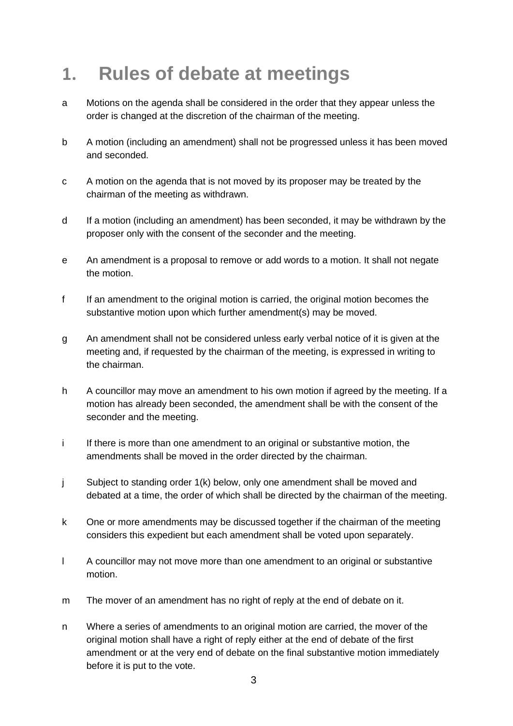#### **1. Rules of debate at meetings**

- a Motions on the agenda shall be considered in the order that they appear unless the order is changed at the discretion of the chairman of the meeting.
- b A motion (including an amendment) shall not be progressed unless it has been moved and seconded.
- c A motion on the agenda that is not moved by its proposer may be treated by the chairman of the meeting as withdrawn.
- d If a motion (including an amendment) has been seconded, it may be withdrawn by the proposer only with the consent of the seconder and the meeting.
- e An amendment is a proposal to remove or add words to a motion. It shall not negate the motion.
- f If an amendment to the original motion is carried, the original motion becomes the substantive motion upon which further amendment(s) may be moved.
- g An amendment shall not be considered unless early verbal notice of it is given at the meeting and, if requested by the chairman of the meeting, is expressed in writing to the chairman.
- h A councillor may move an amendment to his own motion if agreed by the meeting. If a motion has already been seconded, the amendment shall be with the consent of the seconder and the meeting.
- i If there is more than one amendment to an original or substantive motion, the amendments shall be moved in the order directed by the chairman.
- j Subject to standing order 1(k) below, only one amendment shall be moved and debated at a time, the order of which shall be directed by the chairman of the meeting.
- k One or more amendments may be discussed together if the chairman of the meeting considers this expedient but each amendment shall be voted upon separately.
- l A councillor may not move more than one amendment to an original or substantive motion.
- m The mover of an amendment has no right of reply at the end of debate on it.
- n Where a series of amendments to an original motion are carried, the mover of the original motion shall have a right of reply either at the end of debate of the first amendment or at the very end of debate on the final substantive motion immediately before it is put to the vote.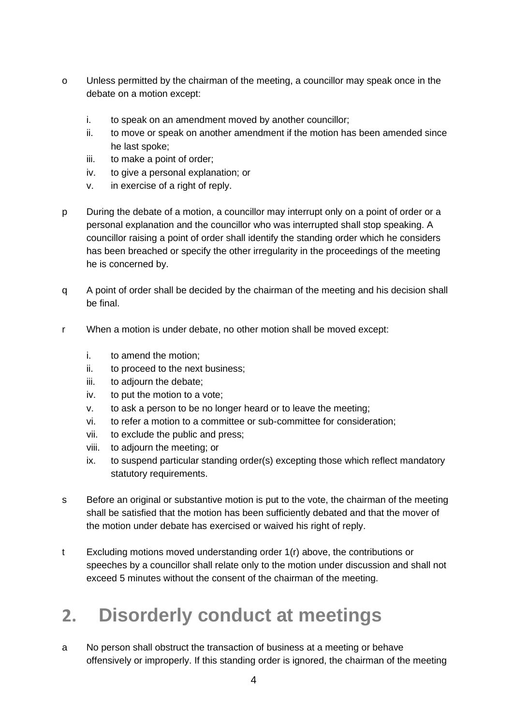- o Unless permitted by the chairman of the meeting, a councillor may speak once in the debate on a motion except:
	- i. to speak on an amendment moved by another councillor;
	- ii. to move or speak on another amendment if the motion has been amended since he last spoke;
	- iii. to make a point of order;
	- iv. to give a personal explanation; or
	- v. in exercise of a right of reply.
- p During the debate of a motion, a councillor may interrupt only on a point of order or a personal explanation and the councillor who was interrupted shall stop speaking. A councillor raising a point of order shall identify the standing order which he considers has been breached or specify the other irregularity in the proceedings of the meeting he is concerned by.
- q A point of order shall be decided by the chairman of the meeting and his decision shall be final.
- r When a motion is under debate, no other motion shall be moved except:
	- i. to amend the motion;
	- ii. to proceed to the next business;
	- iii. to adjourn the debate;
	- iv. to put the motion to a vote;
	- v. to ask a person to be no longer heard or to leave the meeting;
	- vi. to refer a motion to a committee or sub-committee for consideration;
	- vii. to exclude the public and press;
	- viii. to adjourn the meeting; or
	- ix. to suspend particular standing order(s) excepting those which reflect mandatory statutory requirements.
- s Before an original or substantive motion is put to the vote, the chairman of the meeting shall be satisfied that the motion has been sufficiently debated and that the mover of the motion under debate has exercised or waived his right of reply.
- t Excluding motions moved understanding order 1(r) above, the contributions or speeches by a councillor shall relate only to the motion under discussion and shall not exceed 5 minutes without the consent of the chairman of the meeting.

### **2. Disorderly conduct at meetings**

a No person shall obstruct the transaction of business at a meeting or behave offensively or improperly. If this standing order is ignored, the chairman of the meeting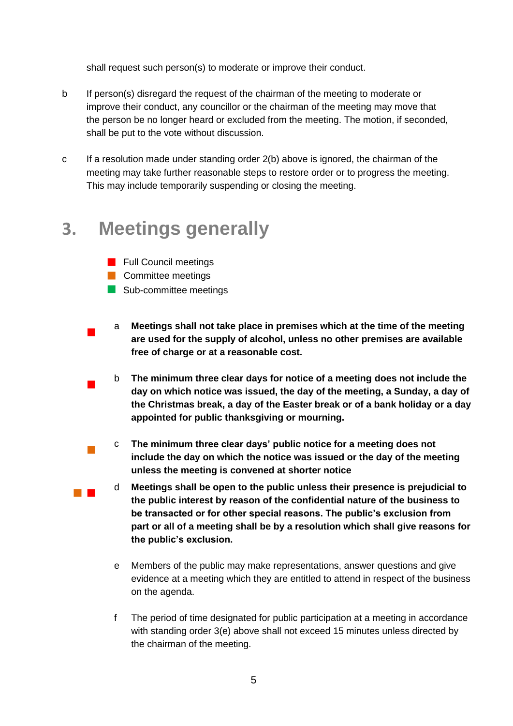shall request such person(s) to moderate or improve their conduct.

- b If person(s) disregard the request of the chairman of the meeting to moderate or improve their conduct, any councillor or the chairman of the meeting may move that the person be no longer heard or excluded from the meeting. The motion, if seconded, shall be put to the vote without discussion.
- c If a resolution made under standing order 2(b) above is ignored, the chairman of the meeting may take further reasonable steps to restore order or to progress the meeting. This may include temporarily suspending or closing the meeting.

#### **3. Meetings generally**

- **Full Council meetings**
- **Committee meetings**

 $\overline{\phantom{a}}$ 

 $\overline{\phantom{a}}$ 

 $\mathcal{L}_{\mathcal{A}}$ 

- Sub-committee meetings
- a **Meetings shall not take place in premises which at the time of the meeting are used for the supply of alcohol, unless no other premises are available free of charge or at a reasonable cost.**
- b **The minimum three clear days for notice of a meeting does not include the day on which notice was issued, the day of the meeting, a Sunday, a day of the Christmas break, a day of the Easter break or of a bank holiday or a day appointed for public thanksgiving or mourning.**
- c **The minimum three clear days' public notice for a meeting does not include the day on which the notice was issued or the day of the meeting unless the meeting is convened at shorter notice**
- d **Meetings shall be open to the public unless their presence is prejudicial to the public interest by reason of the confidential nature of the business to be transacted or for other special reasons. The public's exclusion from part or all of a meeting shall be by a resolution which shall give reasons for the public's exclusion.**
	- e Members of the public may make representations, answer questions and give evidence at a meeting which they are entitled to attend in respect of the business on the agenda.
	- f The period of time designated for public participation at a meeting in accordance with standing order 3(e) above shall not exceed 15 minutes unless directed by the chairman of the meeting.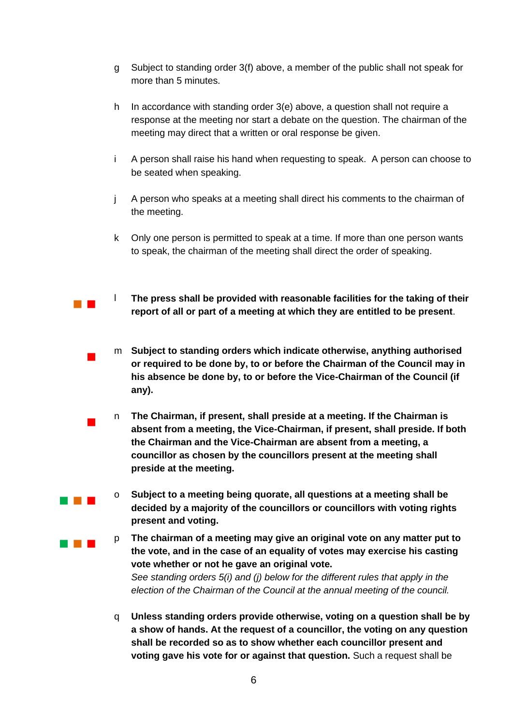- g Subject to standing order 3(f) above, a member of the public shall not speak for more than 5 minutes.
- h In accordance with standing order 3(e) above, a question shall not require a response at the meeting nor start a debate on the question. The chairman of the meeting may direct that a written or oral response be given.
- i A person shall raise his hand when requesting to speak. A person can choose to be seated when speaking.
- j A person who speaks at a meeting shall direct his comments to the chairman of the meeting.
- k Only one person is permitted to speak at a time. If more than one person wants to speak, the chairman of the meeting shall direct the order of speaking.
- l **The press shall be provided with reasonable facilities for the taking of their report of all or part of a meeting at which they are entitled to be present**.

 $\mathcal{L}_{\text{max}}$ 

 $\overline{\phantom{a}}$ 

 $\overline{\phantom{a}}$ 

a a shekara

- m **Subject to standing orders which indicate otherwise, anything authorised or required to be done by, to or before the Chairman of the Council may in his absence be done by, to or before the Vice-Chairman of the Council (if any).**
- n **The Chairman, if present, shall preside at a meeting. If the Chairman is absent from a meeting, the Vice-Chairman, if present, shall preside. If both the Chairman and the Vice-Chairman are absent from a meeting, a councillor as chosen by the councillors present at the meeting shall preside at the meeting.**
	- o **Subject to a meeting being quorate, all questions at a meeting shall be decided by a majority of the councillors or councillors with voting rights present and voting.**
- $\sim 10^{-1}$ p **The chairman of a meeting may give an original vote on any matter put to the vote, and in the case of an equality of votes may exercise his casting vote whether or not he gave an original vote.** *See standing orders 5(i) and (j) below for the different rules that apply in the election of the Chairman of the Council at the annual meeting of the council.*
	- q **Unless standing orders provide otherwise, voting on a question shall be by a show of hands. At the request of a councillor, the voting on any question shall be recorded so as to show whether each councillor present and voting gave his vote for or against that question.** Such a request shall be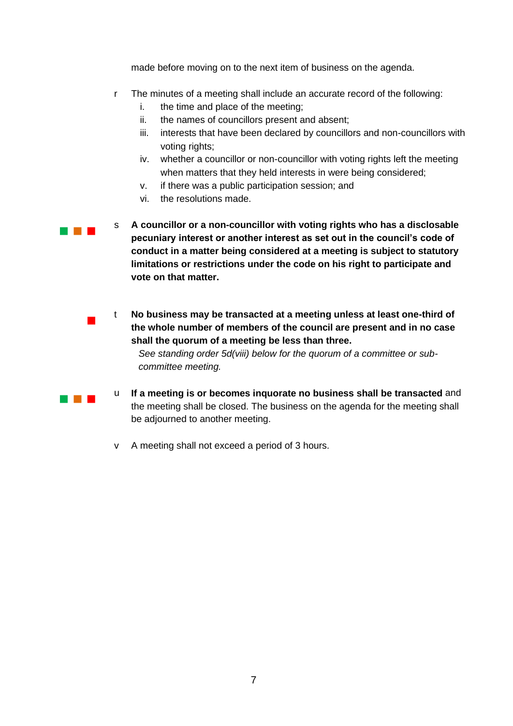made before moving on to the next item of business on the agenda.

- r The minutes of a meeting shall include an accurate record of the following:
	- i. the time and place of the meeting;
	- ii. the names of councillors present and absent;
	- iii. interests that have been declared by councillors and non-councillors with voting rights;
	- iv. whether a councillor or non-councillor with voting rights left the meeting when matters that they held interests in were being considered;
	- v. if there was a public participation session; and
	- vi. the resolutions made.

 $\overline{\phantom{a}}$ 

and the control

**CONTRACTOR** s **A councillor or a non-councillor with voting rights who has a disclosable pecuniary interest or another interest as set out in the council's code of conduct in a matter being considered at a meeting is subject to statutory limitations or restrictions under the code on his right to participate and vote on that matter.**

> t **No business may be transacted at a meeting unless at least one-third of the whole number of members of the council are present and in no case shall the quorum of a meeting be less than three.**

*See standing order 5d(viii) below for the quorum of a committee or subcommittee meeting.* 

- u **If a meeting is or becomes inquorate no business shall be transacted** and the meeting shall be closed. The business on the agenda for the meeting shall be adjourned to another meeting.
- v A meeting shall not exceed a period of 3 hours.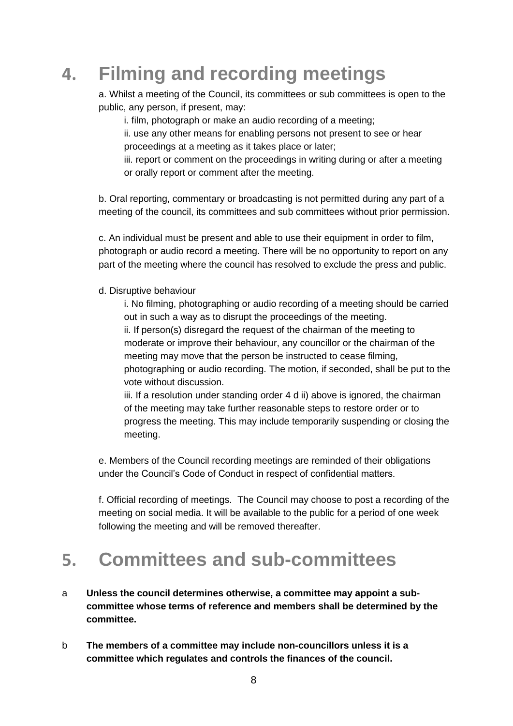### **4. Filming and recording meetings**

a. Whilst a meeting of the Council, its committees or sub committees is open to the public, any person, if present, may:

i. film, photograph or make an audio recording of a meeting;

ii. use any other means for enabling persons not present to see or hear proceedings at a meeting as it takes place or later;

iii. report or comment on the proceedings in writing during or after a meeting or orally report or comment after the meeting.

b. Oral reporting, commentary or broadcasting is not permitted during any part of a meeting of the council, its committees and sub committees without prior permission.

c. An individual must be present and able to use their equipment in order to film, photograph or audio record a meeting. There will be no opportunity to report on any part of the meeting where the council has resolved to exclude the press and public.

#### d. Disruptive behaviour

i. No filming, photographing or audio recording of a meeting should be carried out in such a way as to disrupt the proceedings of the meeting. ii. If person(s) disregard the request of the chairman of the meeting to moderate or improve their behaviour, any councillor or the chairman of the meeting may move that the person be instructed to cease filming, photographing or audio recording. The motion, if seconded, shall be put to the vote without discussion.

iii. If a resolution under standing order 4 d ii) above is ignored, the chairman of the meeting may take further reasonable steps to restore order or to progress the meeting. This may include temporarily suspending or closing the meeting.

e. Members of the Council recording meetings are reminded of their obligations under the Council's Code of Conduct in respect of confidential matters.

f. Official recording of meetings. The Council may choose to post a recording of the meeting on social media. It will be available to the public for a period of one week following the meeting and will be removed thereafter.

#### **5. Committees and sub-committees**

- a **Unless the council determines otherwise, a committee may appoint a subcommittee whose terms of reference and members shall be determined by the committee.**
- b **The members of a committee may include non-councillors unless it is a committee which regulates and controls the finances of the council.**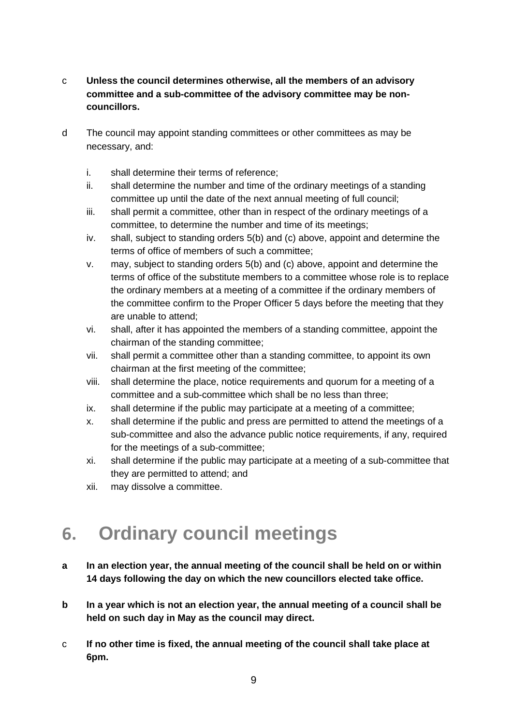#### c **Unless the council determines otherwise, all the members of an advisory committee and a sub-committee of the advisory committee may be noncouncillors.**

- d The council may appoint standing committees or other committees as may be necessary, and:
	- i. shall determine their terms of reference;
	- ii. shall determine the number and time of the ordinary meetings of a standing committee up until the date of the next annual meeting of full council;
	- iii. shall permit a committee, other than in respect of the ordinary meetings of a committee, to determine the number and time of its meetings;
	- iv. shall, subject to standing orders 5(b) and (c) above, appoint and determine the terms of office of members of such a committee;
	- v. may, subject to standing orders 5(b) and (c) above, appoint and determine the terms of office of the substitute members to a committee whose role is to replace the ordinary members at a meeting of a committee if the ordinary members of the committee confirm to the Proper Officer 5 days before the meeting that they are unable to attend;
	- vi. shall, after it has appointed the members of a standing committee, appoint the chairman of the standing committee;
	- vii. shall permit a committee other than a standing committee, to appoint its own chairman at the first meeting of the committee;
	- viii. shall determine the place, notice requirements and quorum for a meeting of a committee and a sub-committee which shall be no less than three;
	- ix. shall determine if the public may participate at a meeting of a committee;
	- x. shall determine if the public and press are permitted to attend the meetings of a sub-committee and also the advance public notice requirements, if any, required for the meetings of a sub-committee;
	- xi. shall determine if the public may participate at a meeting of a sub-committee that they are permitted to attend; and
	- xii. may dissolve a committee.

#### **6. Ordinary council meetings**

- **a In an election year, the annual meeting of the council shall be held on or within 14 days following the day on which the new councillors elected take office.**
- **b In a year which is not an election year, the annual meeting of a council shall be held on such day in May as the council may direct.**
- c **If no other time is fixed, the annual meeting of the council shall take place at 6pm.**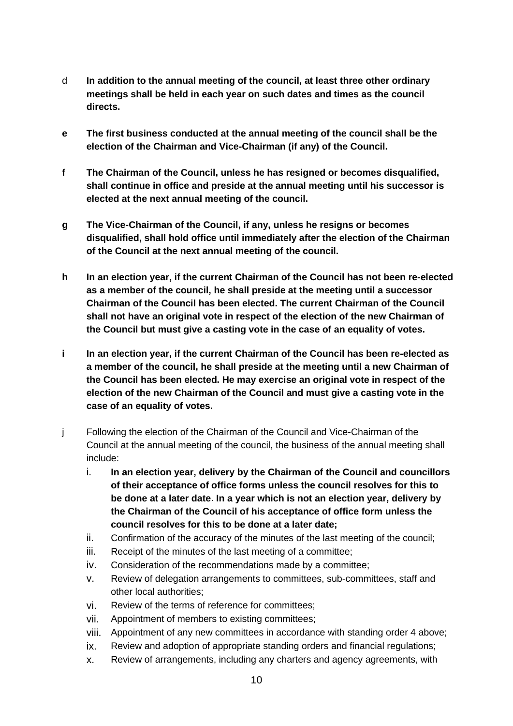- d **In addition to the annual meeting of the council, at least three other ordinary meetings shall be held in each year on such dates and times as the council directs.**
- **e The first business conducted at the annual meeting of the council shall be the election of the Chairman and Vice-Chairman (if any) of the Council.**
- **f The Chairman of the Council, unless he has resigned or becomes disqualified, shall continue in office and preside at the annual meeting until his successor is elected at the next annual meeting of the council.**
- **g The Vice-Chairman of the Council, if any, unless he resigns or becomes disqualified, shall hold office until immediately after the election of the Chairman of the Council at the next annual meeting of the council.**
- **h In an election year, if the current Chairman of the Council has not been re-elected as a member of the council, he shall preside at the meeting until a successor Chairman of the Council has been elected. The current Chairman of the Council shall not have an original vote in respect of the election of the new Chairman of the Council but must give a casting vote in the case of an equality of votes.**
- **i In an election year, if the current Chairman of the Council has been re-elected as a member of the council, he shall preside at the meeting until a new Chairman of the Council has been elected. He may exercise an original vote in respect of the election of the new Chairman of the Council and must give a casting vote in the case of an equality of votes.**
- j Following the election of the Chairman of the Council and Vice-Chairman of the Council at the annual meeting of the council, the business of the annual meeting shall include:
	- i. **In an election year, delivery by the Chairman of the Council and councillors of their acceptance of office forms unless the council resolves for this to be done at a later date**. **In a year which is not an election year, delivery by the Chairman of the Council of his acceptance of office form unless the council resolves for this to be done at a later date;**
	- ii. Confirmation of the accuracy of the minutes of the last meeting of the council;
	- iii. Receipt of the minutes of the last meeting of a committee;
	- iv. Consideration of the recommendations made by a committee;
	- v. Review of delegation arrangements to committees, sub-committees, staff and other local authorities;
	- vi. Review of the terms of reference for committees;
	- vii. Appointment of members to existing committees;
	- viii. Appointment of any new committees in accordance with standing order 4 above;
	- ix. Review and adoption of appropriate standing orders and financial regulations;
	- x. Review of arrangements, including any charters and agency agreements, with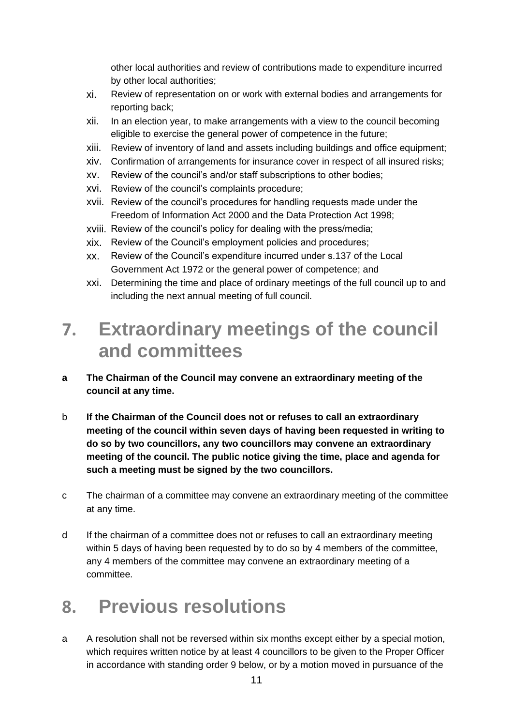other local authorities and review of contributions made to expenditure incurred by other local authorities;

- xi. Review of representation on or work with external bodies and arrangements for reporting back;
- xii. In an election year, to make arrangements with a view to the council becoming eligible to exercise the general power of competence in the future;
- xiii. Review of inventory of land and assets including buildings and office equipment;
- xiv. Confirmation of arrangements for insurance cover in respect of all insured risks;
- xv. Review of the council's and/or staff subscriptions to other bodies;
- xvi. Review of the council's complaints procedure;
- xvii. Review of the council's procedures for handling requests made under the Freedom of Information Act 2000 and the Data Protection Act 1998;
- xviii. Review of the council's policy for dealing with the press/media;
- xix. Review of the Council's employment policies and procedures;
- xx. Review of the Council's expenditure incurred under s.137 of the Local Government Act 1972 or the general power of competence; and
- xxi. Determining the time and place of ordinary meetings of the full council up to and including the next annual meeting of full council.

#### **7. Extraordinary meetings of the council and committees**

- **a The Chairman of the Council may convene an extraordinary meeting of the council at any time.**
- b **If the Chairman of the Council does not or refuses to call an extraordinary meeting of the council within seven days of having been requested in writing to do so by two councillors, any two councillors may convene an extraordinary meeting of the council. The public notice giving the time, place and agenda for such a meeting must be signed by the two councillors.**
- c The chairman of a committee may convene an extraordinary meeting of the committee at any time.
- d If the chairman of a committee does not or refuses to call an extraordinary meeting within 5 days of having been requested by to do so by 4 members of the committee, any 4 members of the committee may convene an extraordinary meeting of a committee.

#### **8. Previous resolutions**

a A resolution shall not be reversed within six months except either by a special motion, which requires written notice by at least 4 councillors to be given to the Proper Officer in accordance with standing order 9 below, or by a motion moved in pursuance of the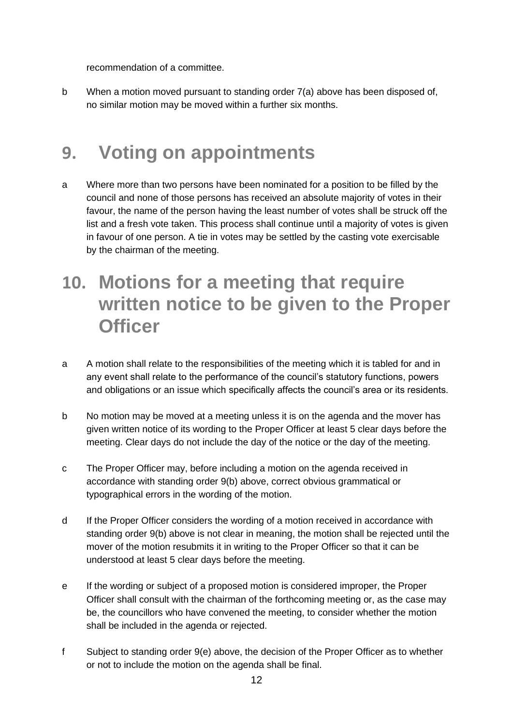recommendation of a committee.

b When a motion moved pursuant to standing order 7(a) above has been disposed of, no similar motion may be moved within a further six months.

#### **9. Voting on appointments**

- a Where more than two persons have been nominated for a position to be filled by the council and none of those persons has received an absolute majority of votes in their favour, the name of the person having the least number of votes shall be struck off the list and a fresh vote taken. This process shall continue until a majority of votes is given in favour of one person. A tie in votes may be settled by the casting vote exercisable by the chairman of the meeting.
- **10. Motions for a meeting that require written notice to be given to the Proper Officer**
- a A motion shall relate to the responsibilities of the meeting which it is tabled for and in any event shall relate to the performance of the council's statutory functions, powers and obligations or an issue which specifically affects the council's area or its residents.
- b No motion may be moved at a meeting unless it is on the agenda and the mover has given written notice of its wording to the Proper Officer at least 5 clear days before the meeting. Clear days do not include the day of the notice or the day of the meeting.
- c The Proper Officer may, before including a motion on the agenda received in accordance with standing order 9(b) above, correct obvious grammatical or typographical errors in the wording of the motion.
- d If the Proper Officer considers the wording of a motion received in accordance with standing order 9(b) above is not clear in meaning, the motion shall be rejected until the mover of the motion resubmits it in writing to the Proper Officer so that it can be understood at least 5 clear days before the meeting.
- e If the wording or subject of a proposed motion is considered improper, the Proper Officer shall consult with the chairman of the forthcoming meeting or, as the case may be, the councillors who have convened the meeting, to consider whether the motion shall be included in the agenda or rejected.
- f Subject to standing order 9(e) above, the decision of the Proper Officer as to whether or not to include the motion on the agenda shall be final.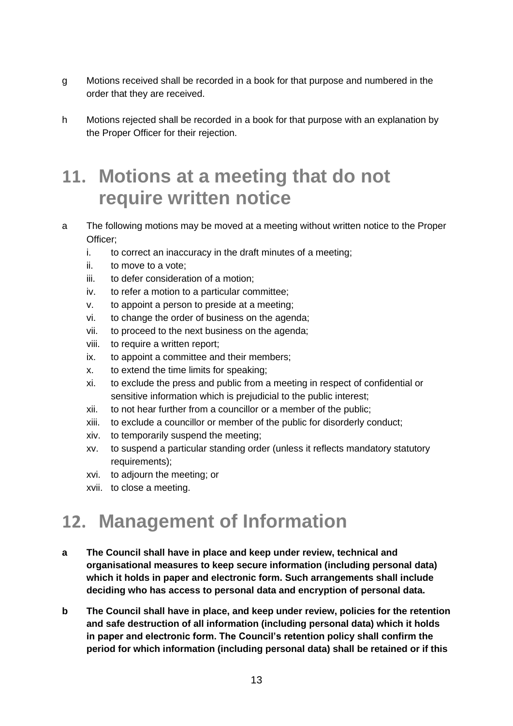- g Motions received shall be recorded in a book for that purpose and numbered in the order that they are received.
- h Motions rejected shall be recorded in a book for that purpose with an explanation by the Proper Officer for their rejection.

#### **11. Motions at a meeting that do not require written notice**

- a The following motions may be moved at a meeting without written notice to the Proper Officer;
	- i. to correct an inaccuracy in the draft minutes of a meeting;
	- ii. to move to a vote;
	- iii. to defer consideration of a motion;
	- iv. to refer a motion to a particular committee;
	- v. to appoint a person to preside at a meeting;
	- vi. to change the order of business on the agenda;
	- vii. to proceed to the next business on the agenda;
	- viii. to require a written report;
	- ix. to appoint a committee and their members;
	- x. to extend the time limits for speaking;
	- xi. to exclude the press and public from a meeting in respect of confidential or sensitive information which is prejudicial to the public interest;
	- xii. to not hear further from a councillor or a member of the public;
	- xiii. to exclude a councillor or member of the public for disorderly conduct;
	- xiv. to temporarily suspend the meeting;
	- xv. to suspend a particular standing order (unless it reflects mandatory statutory requirements);
	- xvi. to adjourn the meeting; or
	- xvii. to close a meeting.

#### **12. Management of Information**

- **a The Council shall have in place and keep under review, technical and organisational measures to keep secure information (including personal data) which it holds in paper and electronic form. Such arrangements shall include deciding who has access to personal data and encryption of personal data.**
- **b The Council shall have in place, and keep under review, policies for the retention and safe destruction of all information (including personal data) which it holds in paper and electronic form. The Council's retention policy shall confirm the period for which information (including personal data) shall be retained or if this**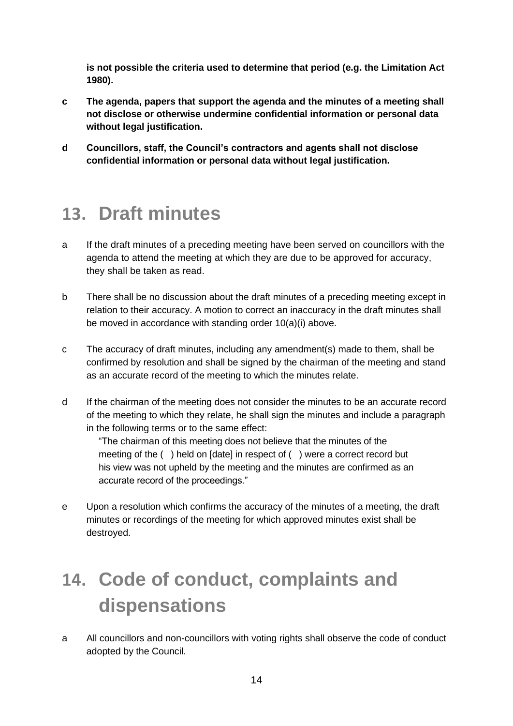**is not possible the criteria used to determine that period (e.g. the Limitation Act 1980).** 

- **c The agenda, papers that support the agenda and the minutes of a meeting shall not disclose or otherwise undermine confidential information or personal data without legal justification.**
- **d Councillors, staff, the Council's contractors and agents shall not disclose confidential information or personal data without legal justification.**

#### **13. Draft minutes**

- a If the draft minutes of a preceding meeting have been served on councillors with the agenda to attend the meeting at which they are due to be approved for accuracy, they shall be taken as read.
- b There shall be no discussion about the draft minutes of a preceding meeting except in relation to their accuracy. A motion to correct an inaccuracy in the draft minutes shall be moved in accordance with standing order 10(a)(i) above.
- c The accuracy of draft minutes, including any amendment(s) made to them, shall be confirmed by resolution and shall be signed by the chairman of the meeting and stand as an accurate record of the meeting to which the minutes relate.
- d If the chairman of the meeting does not consider the minutes to be an accurate record of the meeting to which they relate, he shall sign the minutes and include a paragraph in the following terms or to the same effect:

"The chairman of this meeting does not believe that the minutes of the meeting of the ( ) held on [date] in respect of ( ) were a correct record but his view was not upheld by the meeting and the minutes are confirmed as an accurate record of the proceedings."

e Upon a resolution which confirms the accuracy of the minutes of a meeting, the draft minutes or recordings of the meeting for which approved minutes exist shall be destroyed.

### **14. Code of conduct, complaints and dispensations**

a All councillors and non-councillors with voting rights shall observe the code of conduct adopted by the Council.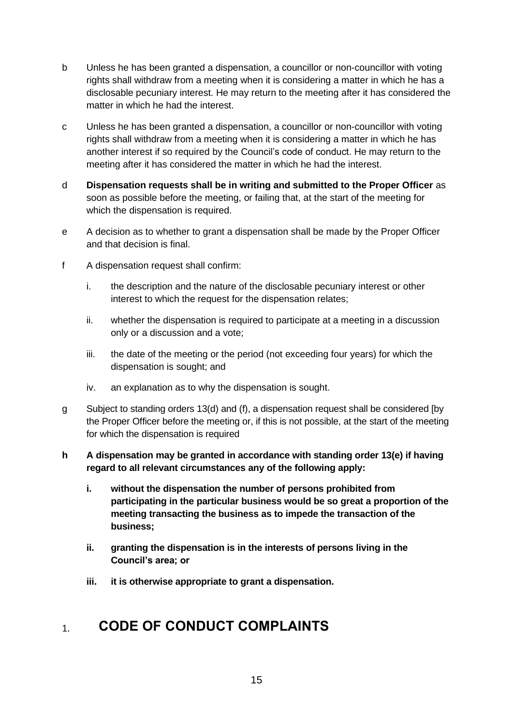- b Unless he has been granted a dispensation, a councillor or non-councillor with voting rights shall withdraw from a meeting when it is considering a matter in which he has a disclosable pecuniary interest. He may return to the meeting after it has considered the matter in which he had the interest.
- c Unless he has been granted a dispensation, a councillor or non-councillor with voting rights shall withdraw from a meeting when it is considering a matter in which he has another interest if so required by the Council's code of conduct. He may return to the meeting after it has considered the matter in which he had the interest.
- d **Dispensation requests shall be in writing and submitted to the Proper Officer** as soon as possible before the meeting, or failing that, at the start of the meeting for which the dispensation is required.
- e A decision as to whether to grant a dispensation shall be made by the Proper Officer and that decision is final.
- f A dispensation request shall confirm:
	- i. the description and the nature of the disclosable pecuniary interest or other interest to which the request for the dispensation relates;
	- ii. whether the dispensation is required to participate at a meeting in a discussion only or a discussion and a vote;
	- iii. the date of the meeting or the period (not exceeding four years) for which the dispensation is sought; and
	- iv. an explanation as to why the dispensation is sought.
- g Subject to standing orders 13(d) and (f), a dispensation request shall be considered [by the Proper Officer before the meeting or, if this is not possible, at the start of the meeting for which the dispensation is required
- **h A dispensation may be granted in accordance with standing order 13(e) if having regard to all relevant circumstances any of the following apply:**
	- **i. without the dispensation the number of persons prohibited from participating in the particular business would be so great a proportion of the meeting transacting the business as to impede the transaction of the business;**
	- **ii. granting the dispensation is in the interests of persons living in the Council's area; or**
	- **iii. it is otherwise appropriate to grant a dispensation.**

#### **CODE OF CONDUCT COMPLAINTS**  $1.$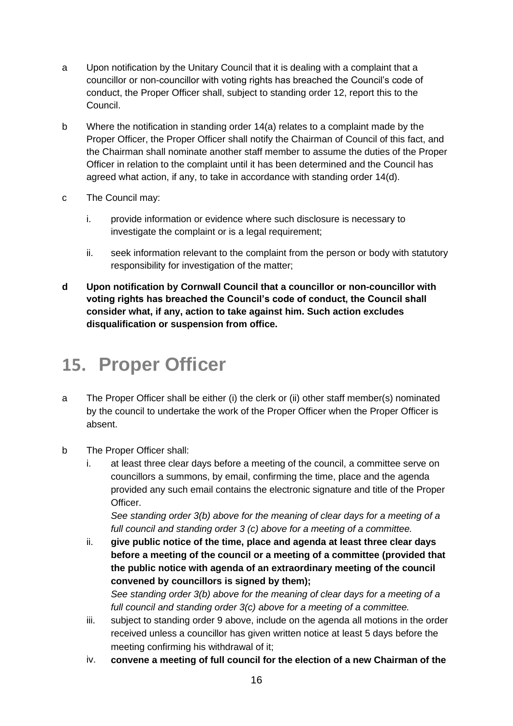- a Upon notification by the Unitary Council that it is dealing with a complaint that a councillor or non-councillor with voting rights has breached the Council's code of conduct, the Proper Officer shall, subject to standing order 12, report this to the Council.
- b Where the notification in standing order 14(a) relates to a complaint made by the Proper Officer, the Proper Officer shall notify the Chairman of Council of this fact, and the Chairman shall nominate another staff member to assume the duties of the Proper Officer in relation to the complaint until it has been determined and the Council has agreed what action, if any, to take in accordance with standing order 14(d).
- c The Council may:
	- i. provide information or evidence where such disclosure is necessary to investigate the complaint or is a legal requirement:
	- ii. seek information relevant to the complaint from the person or body with statutory responsibility for investigation of the matter;
- **d Upon notification by Cornwall Council that a councillor or non-councillor with voting rights has breached the Council's code of conduct, the Council shall consider what, if any, action to take against him. Such action excludes disqualification or suspension from office.**

#### **15. Proper Officer**

- a The Proper Officer shall be either (i) the clerk or (ii) other staff member(s) nominated by the council to undertake the work of the Proper Officer when the Proper Officer is absent.
- b The Proper Officer shall:
	- i. at least three clear days before a meeting of the council, a committee serve on councillors a summons, by email, confirming the time, place and the agenda provided any such email contains the electronic signature and title of the Proper Officer.

*See standing order 3(b) above for the meaning of clear days for a meeting of a full council and standing order 3 (c) above for a meeting of a committee.*

ii. **give public notice of the time, place and agenda at least three clear days before a meeting of the council or a meeting of a committee (provided that the public notice with agenda of an extraordinary meeting of the council convened by councillors is signed by them);**

*See standing order 3(b) above for the meaning of clear days for a meeting of a full council and standing order 3(c) above for a meeting of a committee.*

- iii. subject to standing order 9 above, include on the agenda all motions in the order received unless a councillor has given written notice at least 5 days before the meeting confirming his withdrawal of it;
- iv. **convene a meeting of full council for the election of a new Chairman of the**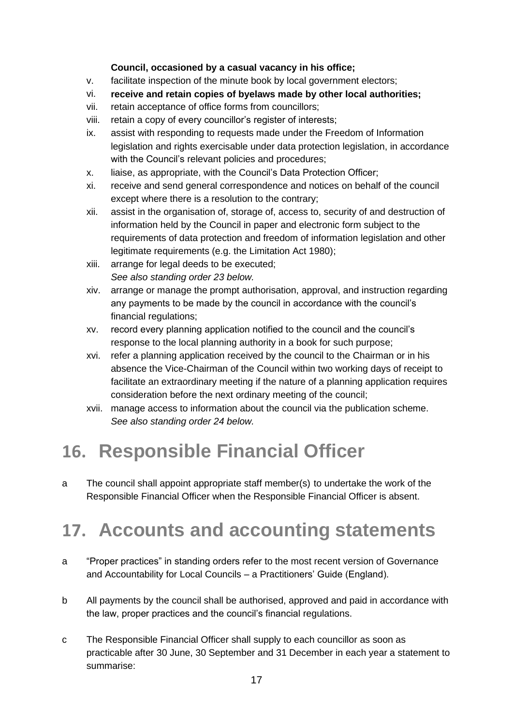#### **Council, occasioned by a casual vacancy in his office;**

- v. facilitate inspection of the minute book by local government electors;
- vi. **receive and retain copies of byelaws made by other local authorities;**
- vii. retain acceptance of office forms from councillors;
- viii. retain a copy of every councillor's register of interests;
- ix. assist with responding to requests made under the Freedom of Information legislation and rights exercisable under data protection legislation, in accordance with the Council's relevant policies and procedures;
- x. liaise, as appropriate, with the Council's Data Protection Officer;
- xi. receive and send general correspondence and notices on behalf of the council except where there is a resolution to the contrary;
- xii. assist in the organisation of, storage of, access to, security of and destruction of information held by the Council in paper and electronic form subject to the requirements of data protection and freedom of information legislation and other legitimate requirements (e.g. the Limitation Act 1980);
- xiii. arrange for legal deeds to be executed; *See also standing order 23 below.*
- xiv. arrange or manage the prompt authorisation, approval, and instruction regarding any payments to be made by the council in accordance with the council's financial regulations;
- xv. record every planning application notified to the council and the council's response to the local planning authority in a book for such purpose;
- xvi. refer a planning application received by the council to the Chairman or in his absence the Vice-Chairman of the Council within two working days of receipt to facilitate an extraordinary meeting if the nature of a planning application requires consideration before the next ordinary meeting of the council;
- xvii. manage access to information about the council via the publication scheme. *See also standing order 24 below.*

### **16. Responsible Financial Officer**

a The council shall appoint appropriate staff member(s) to undertake the work of the Responsible Financial Officer when the Responsible Financial Officer is absent.

### **17. Accounts and accounting statements**

- a "Proper practices" in standing orders refer to the most recent version of Governance and Accountability for Local Councils – a Practitioners' Guide (England).
- b All payments by the council shall be authorised, approved and paid in accordance with the law, proper practices and the council's financial regulations.
- c The Responsible Financial Officer shall supply to each councillor as soon as practicable after 30 June, 30 September and 31 December in each year a statement to summarise: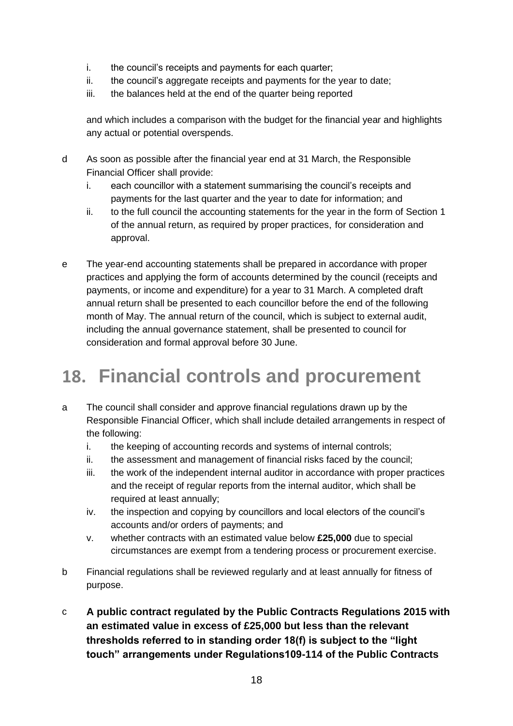- i. the council's receipts and payments for each quarter;
- ii. the council's aggregate receipts and payments for the year to date;
- iii. the balances held at the end of the quarter being reported

and which includes a comparison with the budget for the financial year and highlights any actual or potential overspends.

- d As soon as possible after the financial year end at 31 March, the Responsible Financial Officer shall provide:
	- i. each councillor with a statement summarising the council's receipts and payments for the last quarter and the year to date for information; and
	- ii. to the full council the accounting statements for the year in the form of Section 1 of the annual return, as required by proper practices, for consideration and approval.
- e The year-end accounting statements shall be prepared in accordance with proper practices and applying the form of accounts determined by the council (receipts and payments, or income and expenditure) for a year to 31 March. A completed draft annual return shall be presented to each councillor before the end of the following month of May. The annual return of the council, which is subject to external audit, including the annual governance statement, shall be presented to council for consideration and formal approval before 30 June.

#### **18. Financial controls and procurement**

- a The council shall consider and approve financial regulations drawn up by the Responsible Financial Officer, which shall include detailed arrangements in respect of the following:
	- i. the keeping of accounting records and systems of internal controls;
	- ii. the assessment and management of financial risks faced by the council;
	- iii. the work of the independent internal auditor in accordance with proper practices and the receipt of regular reports from the internal auditor, which shall be required at least annually;
	- iv. the inspection and copying by councillors and local electors of the council's accounts and/or orders of payments; and
	- v. whether contracts with an estimated value below **£25,000** due to special circumstances are exempt from a tendering process or procurement exercise.
- b Financial regulations shall be reviewed regularly and at least annually for fitness of purpose.
- c **A public contract regulated by the Public Contracts Regulations 2015 with an estimated value in excess of £25,000 but less than the relevant thresholds referred to in standing order 18(f) is subject to the "light touch" arrangements under Regulations109-114 of the Public Contracts**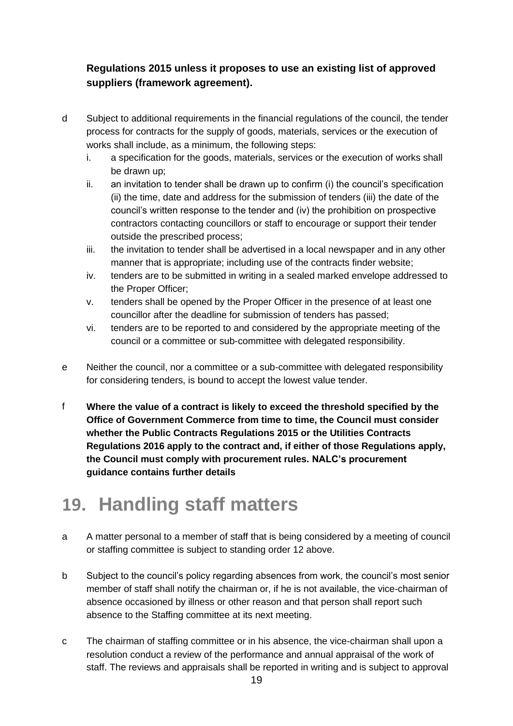#### **Regulations 2015 unless it proposes to use an existing list of approved suppliers (framework agreement).**

- d Subject to additional requirements in the financial regulations of the council, the tender process for contracts for the supply of goods, materials, services or the execution of works shall include, as a minimum, the following steps:
	- i. a specification for the goods, materials, services or the execution of works shall be drawn up;
	- ii. an invitation to tender shall be drawn up to confirm (i) the council's specification (ii) the time, date and address for the submission of tenders (iii) the date of the council's written response to the tender and (iv) the prohibition on prospective contractors contacting councillors or staff to encourage or support their tender outside the prescribed process;
	- iii. the invitation to tender shall be advertised in a local newspaper and in any other manner that is appropriate; including use of the contracts finder website;
	- iv. tenders are to be submitted in writing in a sealed marked envelope addressed to the Proper Officer;
	- v. tenders shall be opened by the Proper Officer in the presence of at least one councillor after the deadline for submission of tenders has passed;
	- vi. tenders are to be reported to and considered by the appropriate meeting of the council or a committee or sub-committee with delegated responsibility.
- e Neither the council, nor a committee or a sub-committee with delegated responsibility for considering tenders, is bound to accept the lowest value tender.
- f **Where the value of a contract is likely to exceed the threshold specified by the Office of Government Commerce from time to time, the Council must consider whether the Public Contracts Regulations 2015 or the Utilities Contracts Regulations 2016 apply to the contract and, if either of those Regulations apply, the Council must comply with procurement rules. NALC's procurement guidance contains further details**

#### **19. Handling staff matters**

- a A matter personal to a member of staff that is being considered by a meeting of council or staffing committee is subject to standing order 12 above.
- b Subject to the council's policy regarding absences from work, the council's most senior member of staff shall notify the chairman or, if he is not available, the vice-chairman of absence occasioned by illness or other reason and that person shall report such absence to the Staffing committee at its next meeting.
- c The chairman of staffing committee or in his absence, the vice-chairman shall upon a resolution conduct a review of the performance and annual appraisal of the work of staff. The reviews and appraisals shall be reported in writing and is subject to approval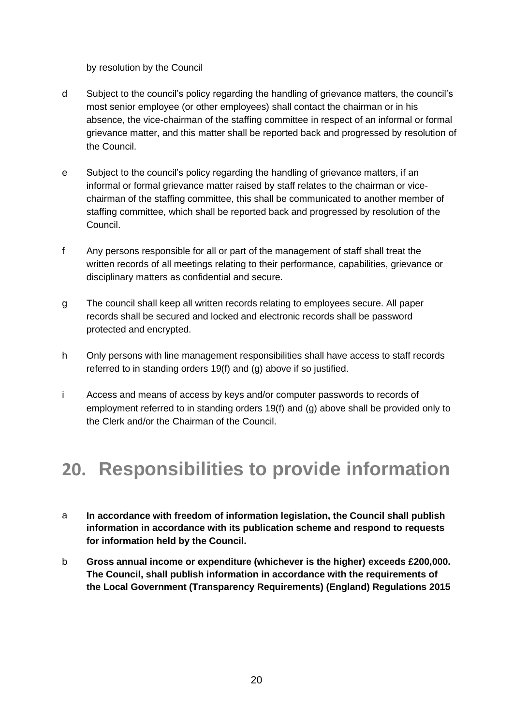by resolution by the Council

- d Subject to the council's policy regarding the handling of grievance matters, the council's most senior employee (or other employees) shall contact the chairman or in his absence, the vice-chairman of the staffing committee in respect of an informal or formal grievance matter, and this matter shall be reported back and progressed by resolution of the Council.
- e Subject to the council's policy regarding the handling of grievance matters, if an informal or formal grievance matter raised by staff relates to the chairman or vicechairman of the staffing committee, this shall be communicated to another member of staffing committee, which shall be reported back and progressed by resolution of the Council.
- f Any persons responsible for all or part of the management of staff shall treat the written records of all meetings relating to their performance, capabilities, grievance or disciplinary matters as confidential and secure.
- g The council shall keep all written records relating to employees secure. All paper records shall be secured and locked and electronic records shall be password protected and encrypted.
- h Only persons with line management responsibilities shall have access to staff records referred to in standing orders 19(f) and (g) above if so justified.
- i Access and means of access by keys and/or computer passwords to records of employment referred to in standing orders 19(f) and (g) above shall be provided only to the Clerk and/or the Chairman of the Council.

#### **20. Responsibilities to provide information**

- a **In accordance with freedom of information legislation, the Council shall publish information in accordance with its publication scheme and respond to requests for information held by the Council.**
- b **Gross annual income or expenditure (whichever is the higher) exceeds £200,000. The Council, shall publish information in accordance with the requirements of the Local Government (Transparency Requirements) (England) Regulations 2015**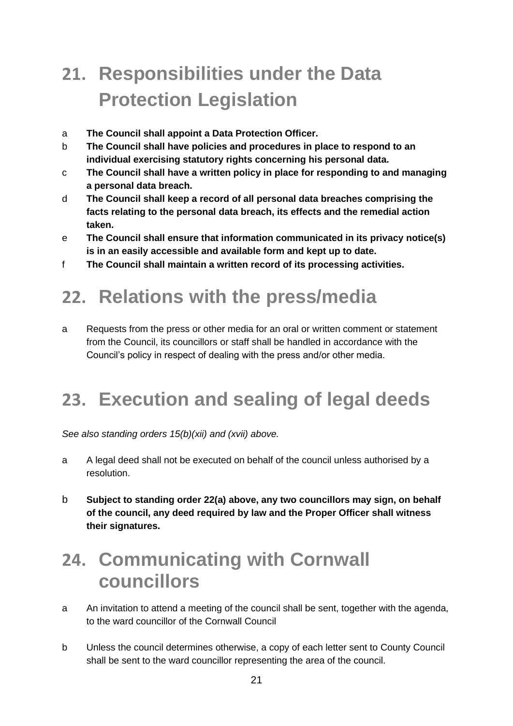### **21. Responsibilities under the Data Protection Legislation**

- a **The Council shall appoint a Data Protection Officer.**
- b **The Council shall have policies and procedures in place to respond to an individual exercising statutory rights concerning his personal data.**
- c **The Council shall have a written policy in place for responding to and managing a personal data breach.**
- d **The Council shall keep a record of all personal data breaches comprising the facts relating to the personal data breach, its effects and the remedial action taken.**
- e **The Council shall ensure that information communicated in its privacy notice(s) is in an easily accessible and available form and kept up to date.**
- f **The Council shall maintain a written record of its processing activities.**

#### **22. Relations with the press/media**

a Requests from the press or other media for an oral or written comment or statement from the Council, its councillors or staff shall be handled in accordance with the Council's policy in respect of dealing with the press and/or other media.

#### **23. Execution and sealing of legal deeds**

*See also standing orders 15(b)(xii) and (xvii) above.*

- a A legal deed shall not be executed on behalf of the council unless authorised by a resolution.
- b **Subject to standing order 22(a) above, any two councillors may sign, on behalf of the council, any deed required by law and the Proper Officer shall witness their signatures.**

#### **24. Communicating with Cornwall councillors**

- a An invitation to attend a meeting of the council shall be sent, together with the agenda, to the ward councillor of the Cornwall Council
- b Unless the council determines otherwise, a copy of each letter sent to County Council shall be sent to the ward councillor representing the area of the council.